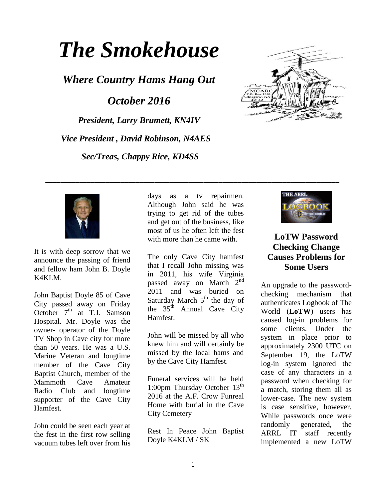# *The Smokehouse*

*Where Country Hams Hang Out*

*October 2016*

*President, Larry Brumett, KN4IV Vice President , David Robinson, N4AES Sec/Treas, Chappy Rice, KD4SS*





It is with deep sorrow that we announce the passing of friend and fellow ham John B. Doyle K4KLM.

John Baptist Doyle 85 of Cave City passed away on Friday October  $7<sup>th</sup>$  at T.J. Samson Hospital. Mr. Doyle was the owner- operator of the Doyle TV Shop in Cave city for more than 50 years. He was a U.S. Marine Veteran and longtime member of the Cave City Baptist Church, member of the Mammoth Cave Amateur Radio Club and longtime supporter of the Cave City Hamfest.

John could be seen each year at the fest in the first row selling vacuum tubes left over from his

days as a tv repairmen. Although John said he was trying to get rid of the tubes and get out of the business, like most of us he often left the fest with more than he came with.

**\_\_\_\_\_\_\_\_\_\_\_\_\_\_\_\_\_\_\_\_\_\_\_\_\_\_\_\_\_\_\_\_\_\_\_\_\_\_\_\_\_\_\_\_\_\_\_\_\_\_\_\_\_\_\_\_\_\_\_\_\_\_\_\_\_\_\_\_\_\_\_\_\_\_\_\_\_\_**

The only Cave City hamfest that I recall John missing was in 2011, his wife Virginia passed away on March  $2^{nd}$ 2011 and was buried on Saturday March  $5<sup>th</sup>$  the day of the  $35<sup>th</sup>$  Annual Cave City Hamfest.

John will be missed by all who knew him and will certainly be missed by the local hams and by the Cave City Hamfest.

Funeral services will be held 1:00pm Thursday October  $13<sup>th</sup>$ 2016 at the A.F. Crow Funreal Home with burial in the Cave City Cemetery

Rest In Peace John Baptist Doyle K4KLM / SK



## **LoTW Password Checking Change Causes Problems for Some Users**

An upgrade to the passwordchecking mechanism that authenticates Logbook of The World (**[LoTW](http://www.arrl.org/logbook-of-the-world)**) users has caused log-in problems for some clients. Under the system in place prior to approximately 2300 UTC on September 19, the LoTW log-in system ignored the case of any characters in a password when checking for a match, storing them all as lower-case. The new system is case sensitive, however. While passwords once were randomly generated, the ARRL IT staff recently implemented a new LoTW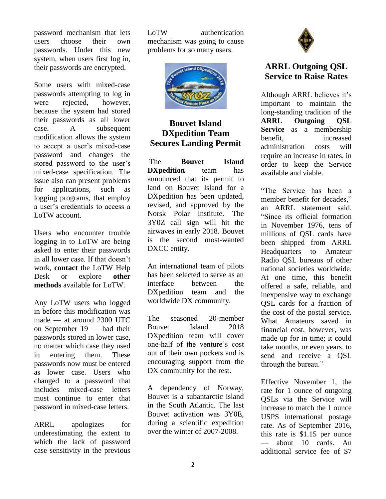password mechanism that lets users choose their own passwords. Under this new system, when users first log in, their passwords are encrypted.

Some users with mixed-case passwords attempting to log in were rejected, however, because the system had stored their passwords as all lower case. A subsequent modification allows the system to accept a user's mixed-case password and changes the stored password to the user's mixed-case specification. The issue also can present problems for applications, such as logging programs, that employ a user's credentials to access a LoTW account.

Users who encounter trouble logging in to LoTW are being asked to enter their passwords in all lower case. If that doesn't work, **[contact](mailto:lotw-help@arrl.org)** the LoTW Help Desk or explore **[other](https://lotw.arrl.org/lotw-help/Getting%20Help)  [methods](https://lotw.arrl.org/lotw-help/Getting%20Help)** available for LoTW.

Any LoTW users who logged in before this modification was made — at around 2300 UTC on September 19 — had their passwords stored in lower case, no matter which case they used in entering them. These passwords now must be entered as lower case. Users who changed to a password that includes mixed-case letters must continue to enter that password in mixed-case letters.

ARRL apologizes for underestimating the extent to which the lack of password case sensitivity in the previous LoTW authentication mechanism was going to cause problems for so many users.



## **Bouvet Island DXpedition Team Secures Landing Permit**

The **[Bouvet Island](http://www.bouvetdx.org/)  [DXpedition](http://www.bouvetdx.org/)** team has announced that its permit to land on Bouvet Island for a DXpedition has been updated, revised, and approved by the Norsk Polar Institute. The 3Y0Z call sign will hit the airwaves in early 2018. Bouvet is the second most-wanted DXCC entity.

An international team of pilots has been selected to serve as an interface between the DXpedition team and the worldwide DX community.

The seasoned 20-member Bouvet Island 2018 DXpedition team will cover one-half of the venture's cost out of their own pockets and is encouraging support from the DX community for the rest.

A dependency of Norway, Bouvet is a subantarctic island in the South Atlantic. The last Bouvet activation was 3Y0E, during a scientific expedition over the winter of 2007-2008.



## **ARRL Outgoing QSL Service to Raise Rates**

Although ARRL believes it's important to maintain the long-standing tradition of the **[ARRL Outgoing QSL](http://www.arrl.org/outgoing-qsl-service)  [Service](http://www.arrl.org/outgoing-qsl-service)** as a membership benefit. increased administration costs will require an increase in rates, in order to keep the Service available and viable.

"The Service has been a member benefit for decades," an ARRL statement said. "Since its official formation in November 1976, tens of millions of QSL cards have been shipped from ARRL Headquarters to Amateur Radio QSL bureaus of other national societies worldwide. At one time, this benefit offered a safe, reliable, and inexpensive way to exchange QSL cards for a fraction of the cost of the postal service. What Amateurs saved in financial cost, however, was made up for in time; it could take months, or even years, to send and receive a QSL through the bureau."

Effective November 1, the rate for 1 ounce of outgoing QSLs via the Service will increase to match the 1 ounce USPS international postage rate. As of September 2016, this rate is \$1.15 per ounce — about 10 cards. An additional service fee of \$7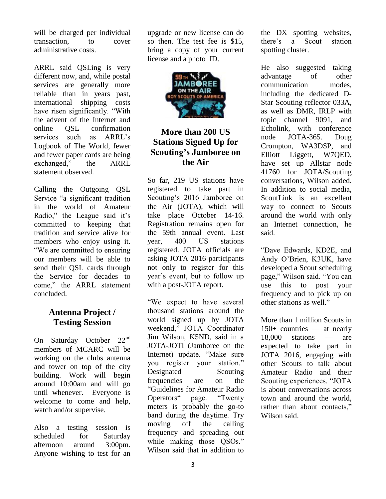will be charged per individual transaction, to cover administrative costs.

ARRL said QSLing is very different now, and, while postal services are generally more reliable than in years past, international shipping costs have risen significantly. "With the advent of the Internet and online QSL confirmation services such as ARRL's Logbook of The World, fewer and fewer paper cards are being exchanged," the ARRL statement observed.

Calling the Outgoing QSL Service "a significant tradition in the world of Amateur Radio," the League said it's committed to keeping that tradition and service alive for members who enjoy using it. "We are committed to ensuring our members will be able to send their QSL cards through the Service for decades to come," the ARRL statement concluded.

### **Antenna Project / Testing Session**

On Saturday October 22<sup>nd</sup> members of MCARC will be working on the clubs antenna and tower on top of the city building. Work will begin around 10:00am and will go until whenever. Everyone is welcome to come and help, watch and/or supervise.

Also a testing session is scheduled for Saturday afternoon around 3:00pm. Anyone wishing to test for an upgrade or new license can do so then. The test fee is \$15, bring a copy of your current license and a photo ID.



## **More than 200 US Stations Signed Up for Scouting's Jamboree on the Air**

So far, 219 US stations have registered to take part in Scouting's 2016 Jamboree on the Air [\(JOTA\)](http://www.arrl.org/jamboree-on-the-air-jota), which will take place October 14-16. [Registration](http://jotajoti.info/sign-up-for-jota-joti/) remains open for the 59th annual event. Last year, 400 US stations registered. JOTA officials are asking JOTA 2016 participants not only to register for this year's event, but to follow up with a post-JOTA report.

"We expect to have several thousand stations around the world signed up by JOTA weekend," JOTA Coordinator Jim Wilson, K5ND, said in a JOTA-JOTI (Jamboree on the Internet) update. "Make sure you register your station." Designated Scouting frequencies are on the ["Guidelines for Amateur Radio](http://www.scouting.org/jota/operators_guides.aspx)  [Operators"](http://www.scouting.org/jota/operators_guides.aspx) page. "Twenty meters is probably the go-to band during the daytime. Try moving off the calling frequency and spreading out while making those QSOs." Wilson said that in addition to

the DX spotting websites, there's a Scout station [spotting cluster.](http://www.pi4raz.nl/jotacluster/cluster.php)

He also suggested taking advantage of other communication modes, including the dedicated [D-](http://k2bsa.us5.list-manage1.com/track/click?u=56ce1526bb2372707f5868e21&id=7cc0fed104&e=f04efd1977)[Star](http://k2bsa.us5.list-manage1.com/track/click?u=56ce1526bb2372707f5868e21&id=7cc0fed104&e=f04efd1977) Scouting reflector 033A, as well as [DMR,](http://k2bsa.us5.list-manage.com/track/click?u=56ce1526bb2372707f5868e21&id=421db65e29&e=f04efd1977) [IRLP](http://k2bsa.us5.list-manage.com/track/click?u=56ce1526bb2372707f5868e21&id=e3d587bc59&e=f04efd1977) with topic channel 9091, and [Echolink,](http://k2bsa.us5.list-manage.com/track/click?u=56ce1526bb2372707f5868e21&id=187b9d8805&e=f04efd1977) with conference node JOTA-365. Doug Crompton, WA3DSP, and Elliott Liggett, W7QED, have set up [Allstar](http://k2bsa.us5.list-manage1.com/track/click?u=56ce1526bb2372707f5868e21&id=caae1429b5&e=f04efd1977) node 41760 for JOTA/Scouting conversations, Wilson added. In addition to social media, [ScoutLink](http://k2bsa.us5.list-manage.com/track/click?u=56ce1526bb2372707f5868e21&id=933a8aeee2&e=f04efd1977) is an excellent way to connect to Scouts around the world with only an Internet connection, he said.

"Dave Edwards, KD2E, and Andy O'Brien, K3UK, have developed a [Scout scheduling](http://www.obriensweb.com/sked/index.php?board=scouts)  [page,](http://www.obriensweb.com/sked/index.php?board=scouts)" Wilson said. "You can use this to post your frequency and to pick up on other stations as well."

More than 1 million Scouts in 150+ countries — at nearly 18,000 stations — are expected to take part in JOTA 2016, engaging with other Scouts to talk about Amateur Radio and their Scouting experiences. "JOTA is about conversations across town and around the world, rather than about contacts," Wilson said.